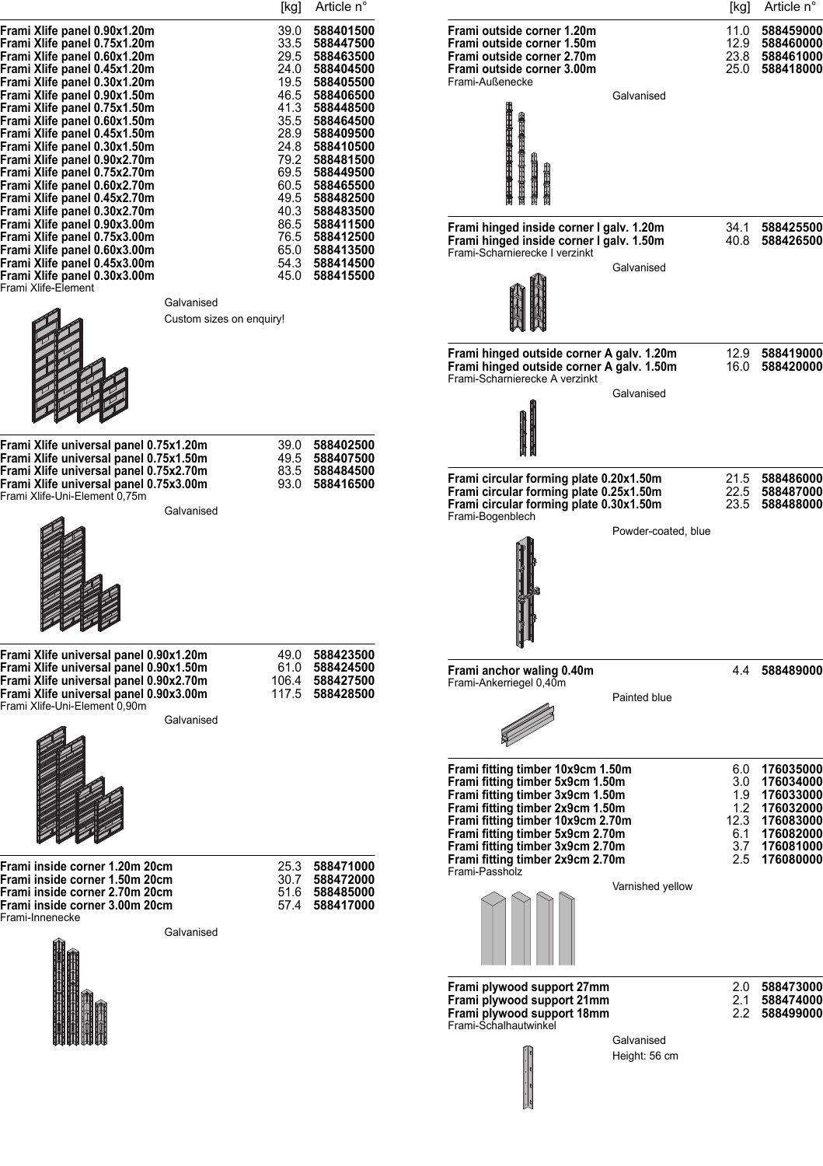|                                                                                                                                                                                                                                                                                                                                                                                                                                                              | [kg]                                                                 | Article n°                                                                                                                                                                                                                    |                                                                                                                                                                                                                       | [kg]                         | Article n°                                                        |
|--------------------------------------------------------------------------------------------------------------------------------------------------------------------------------------------------------------------------------------------------------------------------------------------------------------------------------------------------------------------------------------------------------------------------------------------------------------|----------------------------------------------------------------------|-------------------------------------------------------------------------------------------------------------------------------------------------------------------------------------------------------------------------------|-----------------------------------------------------------------------------------------------------------------------------------------------------------------------------------------------------------------------|------------------------------|-------------------------------------------------------------------|
| Frami Xlife panel 0.90x1.20m<br>Frami Xlife panel 0.75x1.20m<br>Frami Xlife panel 0.60x1.20m<br>Frami Xlife panel 0.45x1.20m<br>Frami Xlife panel 0.30x1.20m<br>Frami Xlife panel 0.90x1.50m<br>Frami Xlife panel 0.75x1.50m<br>Frami Xlife panel 0.60x1.50m<br>Frami Xlife panel 0.45x1.50m<br>Frami Xlife panel 0.30x1.50m<br>Frami Xlife panel 0.90x2.70m<br>Frami Xlife panel 0.75x2.70m<br>Frami Xlife panel 0.60x2.70m<br>Frami Xlife panel 0.45x2.70m | 39.0<br>33.5<br>24.0<br>19.5<br>41.3<br>35.5<br>24.8<br>60.5<br>49.5 | 588401500<br>588447500<br>29.5 588463500<br>588404500<br>588405500<br>46.5 588406500<br>588448500<br>588464500<br>28.9 588409500<br>588410500<br>79.2 588481500<br>69.5 588449500<br>588465500<br>588482500<br>40.3 588483500 | Frami outside corner 1.20m<br>Frami outside corner 1.50m<br>Frami outside corner 2.70m<br>Frami outside corner 3.00m<br>Frami-Außenecke<br>Galvanised                                                                 | 11.0<br>12.9<br>23.8<br>25.0 | 588459000<br>588460000<br>588461000<br>588418000                  |
| Frami Xlife panel 0.30x2.70m<br>Frami Xlife panel 0.90x3.00m<br>Frami Xlife panel 0.75x3.00m<br>Frami Xlife panel 0.60x3.00m<br>Frami Xlife panel 0.45x3.00m<br>Frami Xlife panel 0.30x3.00m<br>Frami Xlife-Element                                                                                                                                                                                                                                          | 86.5<br>54.3<br>45.0<br>Galvanised<br>Custom sizes on enquiry!       | 588411500<br>76.5 588412500<br>65.0 588413500<br>588414500<br>588415500                                                                                                                                                       | Frami hinged inside corner I galv. 1.20m<br>Frami hinged inside corner I galv. 1.50m<br>Frami-Scharnierecke I verzinkt<br>Galvanised                                                                                  | 34.1                         | 588425500<br>40.8 588426500                                       |
| Frami Xlife universal panel 0.75x1.20m<br>Frami Xlife universal panel 0.75x1.50m                                                                                                                                                                                                                                                                                                                                                                             | 39.0                                                                 | 588402500<br>49.5 588407500                                                                                                                                                                                                   | Frami hinged outside corner A galv. 1.20m<br>Frami hinged outside corner A galv. 1.50m<br>Frami-Scharnierecke A verzinkt<br>Galvanised                                                                                | 12.9<br>16.0                 | 588419000<br>588420000                                            |
| Frami Xlife universal panel 0.75x2.70m<br>Frami Xlife universal panel 0.75x3.00m<br>Frami Xlife-Uni-Element 0,75m                                                                                                                                                                                                                                                                                                                                            | 83.5<br>93.0<br>Galvanised                                           | 588484500<br>588416500                                                                                                                                                                                                        | Frami circular forming plate 0.20x1.50m<br>Frami circular forming plate 0.25x1.50m<br>Frami circular forming plate 0.30x1.50m<br>Frami-Bogenblech<br>Powder-coated, blue                                              | 21.5<br>22.5<br>23.5         | 588486000<br>588487000<br>588488000                               |
| Frami Xlife universal panel 0.90x1.20m<br>Frami Xlife universal panel 0.90x1.50m<br>Frami Xlife universal panel 0.90x2.70m<br>Frami Xlife universal panel 0.90x3.00m<br>Frami Xlife-Uni-Element 0,90m                                                                                                                                                                                                                                                        | 106.4<br>117.5<br>Galvanised                                         | 49.0 588423500<br>61.0 588424500<br>588427500<br>588428500                                                                                                                                                                    | Frami anchor waling 0.40m<br>Frami-Ankerriegel 0,40m<br>Painted blue<br>Frami fitting timber 10x9cm 1.50m<br>Frami fitting timber 5x9cm 1.50m<br>Frami fitting timber 3x9cm 1.50m<br>Frami fitting timber 2x9cm 1.50m | 4.4<br>6.0<br>3.0<br>1.9     | 588489000<br>176035000<br>176034000<br>176033000<br>1.2 176032000 |
| Frami inside corner 1.20m 20cm<br>Frami inside corner 1.50m 20cm<br>Frami inside corner 2.70m 20cm<br>Frami inside corner 3.00m 20cm<br>Frami-Innenecke                                                                                                                                                                                                                                                                                                      | 25.3<br>51.6<br>57.4<br>Galvanised                                   | 588471000<br>30.7 588472000<br>588485000<br>588417000                                                                                                                                                                         | Frami fitting timber 10x9cm 2.70m<br>Frami fitting timber 5x9cm 2.70m<br>Frami fitting timber 3x9cm 2.70m<br>Frami fitting timber 2x9cm 2.70m<br>Frami-Passholz<br>Varnished yellow                                   | 6.1<br>3.7                   | 12.3 176083000<br>176082000<br>176081000<br>2.5 176080000         |
|                                                                                                                                                                                                                                                                                                                                                                                                                                                              |                                                                      |                                                                                                                                                                                                                               | Frami plywood support 27mm<br>Frami plywood support 21mm<br>Frami plywood support 18mm<br>Frami-Schalhautwinkel<br>Galvanised<br>Height: 56 cm                                                                        | 2.1<br>2.2                   | 2.0 588473000<br>588474000<br>588499000                           |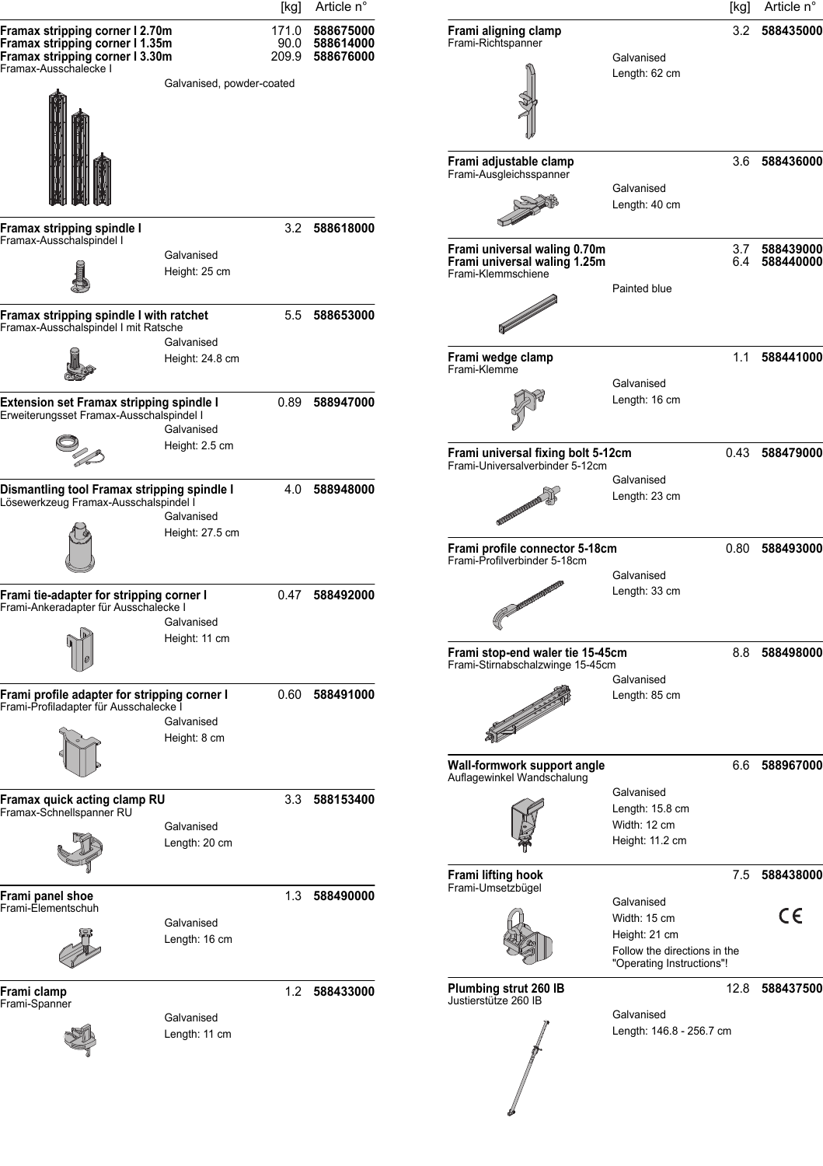|                                                                                                                                | [kg]                        | Article n°                                      |                                                                       | [kg]                                                                                                     | Article n°     |
|--------------------------------------------------------------------------------------------------------------------------------|-----------------------------|-------------------------------------------------|-----------------------------------------------------------------------|----------------------------------------------------------------------------------------------------------|----------------|
| Framax stripping corner I 2.70m<br>Framax stripping corner I 1.35m<br>Framax stripping corner I 3.30m<br>Framax-Ausschalecke I | 90.0                        | 171.0 588675000<br>588614000<br>209.9 588676000 | Frami aligning clamp<br>Frami-Richtspanner                            | 3.2<br>Galvanised                                                                                        | 588435000      |
|                                                                                                                                | Galvanised, powder-coated   |                                                 |                                                                       | Length: 62 cm                                                                                            |                |
|                                                                                                                                |                             |                                                 | Frami adjustable clamp<br>Frami-Ausgleichsspanner                     | Galvanised<br>Length: 40 cm                                                                              | 3.6 588436000  |
| Framax stripping spindle I<br>Framax-Ausschalspindel I                                                                         | Galvanised                  | 3.2 588618000                                   | Frami universal waling 0.70m                                          |                                                                                                          | 3.7 588439000  |
|                                                                                                                                | Height: 25 cm               |                                                 | Frami universal waling 1.25m<br>Frami-Klemmschiene                    | Painted blue                                                                                             | 6.4 588440000  |
| Framax stripping spindle I with ratchet<br>Framax-Ausschalspindel I mit Ratsche                                                | Galvanised                  | 5.5<br>588653000                                |                                                                       |                                                                                                          |                |
|                                                                                                                                | Height: 24.8 cm             |                                                 | Frami wedge clamp<br>Frami-Klemme                                     | Galvanised                                                                                               | 1.1 588441000  |
| Extension set Framax stripping spindle I<br>Erweiterungsset Framax-Ausschalspindel I                                           | 0.89<br>Galvanised          | 588947000                                       |                                                                       | Length: 16 cm                                                                                            |                |
|                                                                                                                                | Height: 2.5 cm              |                                                 | Frami universal fixing bolt 5-12cm<br>Frami-Universalverbinder 5-12cm |                                                                                                          | 0.43 588479000 |
| Dismantling tool Framax stripping spindle l<br>Lösewerkzeug Framax-Ausschalspindel I                                           | Galvanised                  | 4.0<br>588948000                                |                                                                       | Galvanised<br>Length: 23 cm                                                                              |                |
|                                                                                                                                | Height: 27.5 cm             |                                                 | Frami profile connector 5-18cm<br>Frami-Profilverbinder 5-18cm        | 0.80<br>Galvanised                                                                                       | 588493000      |
| Frami tie-adapter for stripping corner I<br>Frami-Ankeradapter für Ausschalecke I                                              | Galvanised                  | 0.47 588492000                                  |                                                                       | Length: 33 cm                                                                                            |                |
|                                                                                                                                | Height: 11 cm               |                                                 | Frami stop-end waler tie 15-45cm<br>Frami-Stirnabschalzwinge 15-45cm  | 8.8<br>Galvanised                                                                                        | 588498000      |
| Frami profile adapter for stripping corner I<br>Frami-Profiladapter für Ausschalecke I                                         | 0.60<br>Galvanised          | 588491000                                       | <u>e f</u> film                                                       | Length: 85 cm                                                                                            |                |
|                                                                                                                                | Height: 8 cm                |                                                 | Wall-formwork support angle                                           |                                                                                                          | 6.6 588967000  |
| Framax quick acting clamp RU                                                                                                   |                             | 3.3 588153400                                   | Auflagewinkel Wandschalung                                            | Galvanised<br>Length: 15.8 cm                                                                            |                |
| Framax-Schnellspanner RU                                                                                                       | Galvanised<br>Length: 20 cm |                                                 |                                                                       | Width: 12 cm<br>Height: 11.2 cm                                                                          |                |
| Frami panel shoe                                                                                                               |                             | 1.3 588490000                                   | Frami lifting hook<br>Frami-Umsetzbügel                               | 7.5                                                                                                      | 588438000      |
| Frami-Elementschuh                                                                                                             | Galvanised<br>Length: 16 cm |                                                 |                                                                       | Galvanised<br>Width: 15 cm<br>Height: 21 cm<br>Follow the directions in the<br>"Operating Instructions"! | CE             |
| Frami clamp<br>Frami-Spanner                                                                                                   |                             | 1.2 588433000                                   | Plumbing strut 260 IB<br>Justierstütze 260 IB                         |                                                                                                          | 12.8 588437500 |
|                                                                                                                                | Galvanised<br>Length: 11 cm |                                                 |                                                                       | Galvanised<br>Length: 146.8 - 256.7 cm                                                                   |                |
|                                                                                                                                |                             |                                                 |                                                                       |                                                                                                          |                |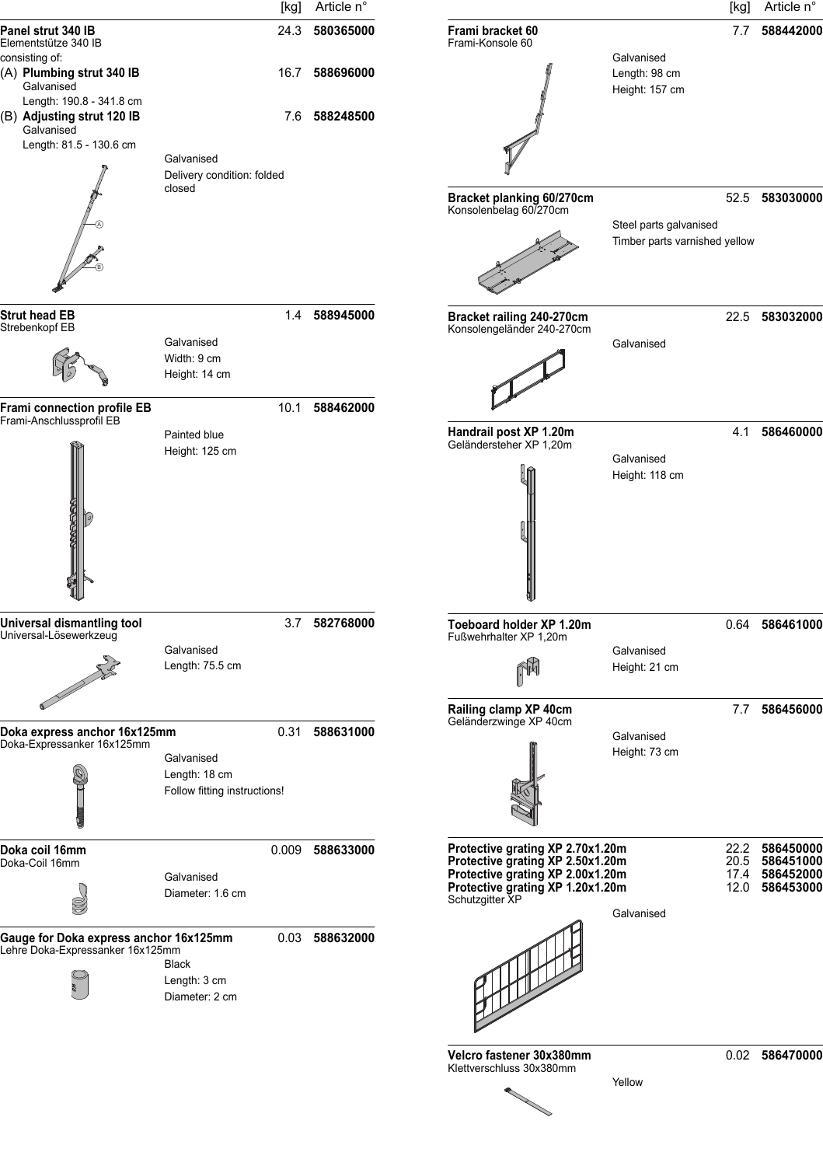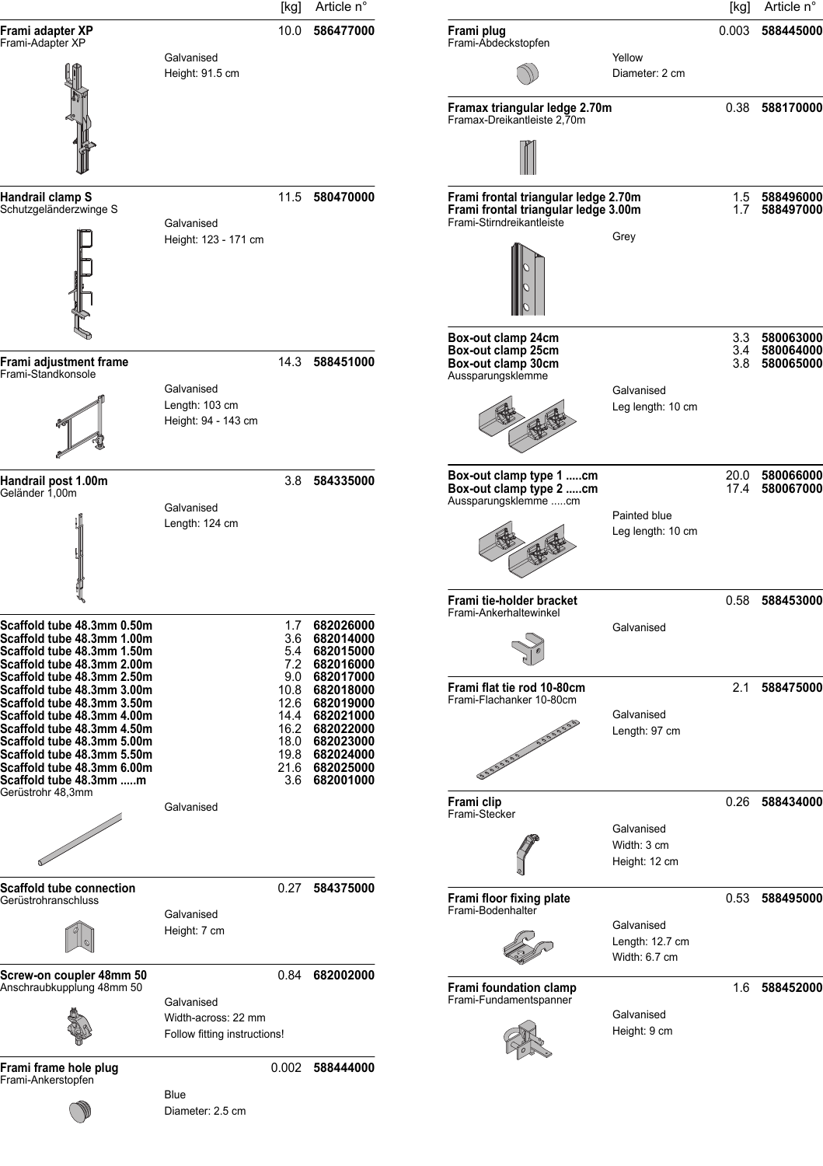|                                                                                                                                                                                                                |                                                                   | [kg]                                                 | Article n°                                                                              |                                                                                                           |                                                | [kg]              | Article n°                          |
|----------------------------------------------------------------------------------------------------------------------------------------------------------------------------------------------------------------|-------------------------------------------------------------------|------------------------------------------------------|-----------------------------------------------------------------------------------------|-----------------------------------------------------------------------------------------------------------|------------------------------------------------|-------------------|-------------------------------------|
| Frami adapter XP<br>Frami-Adapter XP                                                                                                                                                                           |                                                                   | 10.0                                                 | 586477000                                                                               | Frami plug<br>Frami-Abdeckstopfen                                                                         |                                                | 0.003             | 588445000                           |
|                                                                                                                                                                                                                | Galvanised<br>Height: 91.5 cm                                     |                                                      |                                                                                         |                                                                                                           | Yellow<br>Diameter: 2 cm                       |                   |                                     |
|                                                                                                                                                                                                                |                                                                   |                                                      |                                                                                         | Framax triangular ledge 2.70m<br>Framax-Dreikantleiste 2,70m                                              |                                                |                   | 0.38 588170000                      |
|                                                                                                                                                                                                                |                                                                   |                                                      |                                                                                         |                                                                                                           |                                                |                   |                                     |
| Handrail clamp S<br>Schutzgeländerzwinge S                                                                                                                                                                     | Galvanised                                                        | 11.5                                                 | 580470000                                                                               | Frami frontal triangular ledge 2.70m<br>Frami frontal triangular ledge 3.00m<br>Frami-Stirndreikantleiste |                                                | 1.7               | 1.5 588496000<br>588497000          |
|                                                                                                                                                                                                                | Height: 123 - 171 cm                                              |                                                      |                                                                                         |                                                                                                           | Grey                                           |                   |                                     |
| Frami adjustment frame                                                                                                                                                                                         |                                                                   | 14.3                                                 | 588451000                                                                               | Box-out clamp 24cm<br>Box-out clamp 25cm<br>Box-out clamp 30cm                                            |                                                | 3.3<br>3.4<br>3.8 | 580063000<br>580064000<br>580065000 |
| Frami-Standkonsole                                                                                                                                                                                             | Galvanised<br>Length: 103 cm<br>Height: 94 - 143 cm               |                                                      |                                                                                         | Aussparungsklemme                                                                                         | Galvanised<br>Leg length: 10 cm                |                   |                                     |
| Handrail post 1.00m<br>Geländer 1,00m                                                                                                                                                                          |                                                                   | 3.8                                                  | 584335000                                                                               | Box-out clamp type 1 cm<br>Box-out clamp type 2 cm                                                        |                                                | 20.0              | 580066000<br>17.4 580067000         |
|                                                                                                                                                                                                                | Galvanised<br>Length: 124 cm                                      |                                                      |                                                                                         | Aussparungsklemme cm                                                                                      | Painted blue<br>Leg length: 10 cm              |                   |                                     |
|                                                                                                                                                                                                                |                                                                   |                                                      |                                                                                         | Frami tie-holder bracket<br>Frami-Ankerhaltewinkel                                                        |                                                | 0.58              | 588453000                           |
| Scaffold tube 48.3mm 0.50m<br>Scaffold tube 48.3mm 1.00m<br>Scaffold tube 48.3mm 1.50m<br>Scaffold tube 48.3mm 2.00m<br>Scaffold tube 48.3mm 2.50m                                                             |                                                                   | 1.7<br>7.2<br>9.0                                    | 682026000<br>3.6 682014000<br>5.4 682015000<br>682016000<br>682017000                   |                                                                                                           | Galvanised                                     |                   |                                     |
| Scaffold tube 48.3mm 3.00m<br>Scaffold tube 48.3mm 3.50m<br>Scaffold tube 48.3mm 4.00m<br>Scaffold tube 48.3mm 4.50m<br>Scaffold tube 48.3mm 5.00m<br>Scaffold tube 48.3mm 5.50m<br>Scaffold tube 48.3mm 6.00m |                                                                   | 10.8<br>12.6<br>14.4<br>16.2<br>18.0<br>19.8<br>21.6 | 682018000<br>682019000<br>682021000<br>682022000<br>682023000<br>682024000<br>682025000 | Frami flat tie rod 10-80cm<br>Frami-Flachanker 10-80cm<br>SULLER AND DESCRIPTION                          | Galvanised<br>Length: 97 cm                    | 2.1               | 588475000                           |
| Scaffold tube 48.3mm m<br>Gerüstrohr 48,3mm                                                                                                                                                                    | Galvanised                                                        | 3.6                                                  | 682001000                                                                               | Frami clip                                                                                                |                                                |                   | 0.26 588434000                      |
|                                                                                                                                                                                                                |                                                                   |                                                      |                                                                                         | Frami-Stecker                                                                                             | Galvanised<br>Width: 3 cm<br>Height: 12 cm     |                   |                                     |
| Scaffold tube connection<br>Gerüstrohranschluss                                                                                                                                                                |                                                                   |                                                      | 0.27 584375000                                                                          | Frami floor fixing plate                                                                                  |                                                |                   | 0.53 588495000                      |
|                                                                                                                                                                                                                | Galvanised<br>Height: 7 cm                                        |                                                      |                                                                                         | Frami-Bodenhalter                                                                                         | Galvanised<br>Length: 12.7 cm<br>Width: 6.7 cm |                   |                                     |
| Screw-on coupler 48mm 50<br>Anschraubkupplung 48mm 50                                                                                                                                                          |                                                                   |                                                      | 0.84 682002000                                                                          | Frami foundation clamp<br>Frami-Fundamentspanner                                                          |                                                |                   | 1.6 588452000                       |
|                                                                                                                                                                                                                | Galvanised<br>Width-across: 22 mm<br>Follow fitting instructions! |                                                      |                                                                                         |                                                                                                           | Galvanised<br>Height: 9 cm                     |                   |                                     |
| Frami frame hole plug<br>Frami-Ankerstopfen                                                                                                                                                                    |                                                                   |                                                      | 0.002 588444000                                                                         |                                                                                                           |                                                |                   |                                     |
|                                                                                                                                                                                                                | Blue<br>Diameter: 2.5 cm                                          |                                                      |                                                                                         |                                                                                                           |                                                |                   |                                     |